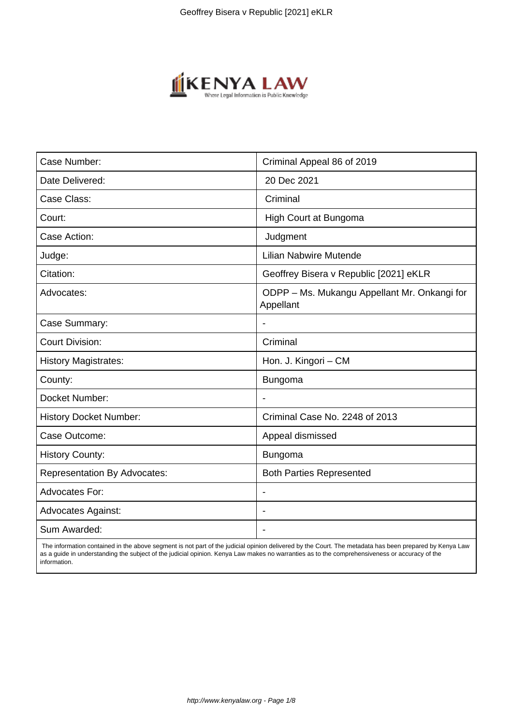

| Case Number:                        | Criminal Appeal 86 of 2019                                |
|-------------------------------------|-----------------------------------------------------------|
| Date Delivered:                     | 20 Dec 2021                                               |
| Case Class:                         | Criminal                                                  |
| Court:                              | High Court at Bungoma                                     |
| Case Action:                        | Judgment                                                  |
| Judge:                              | <b>Lilian Nabwire Mutende</b>                             |
| Citation:                           | Geoffrey Bisera v Republic [2021] eKLR                    |
| Advocates:                          | ODPP - Ms. Mukangu Appellant Mr. Onkangi for<br>Appellant |
| Case Summary:                       |                                                           |
| <b>Court Division:</b>              | Criminal                                                  |
| <b>History Magistrates:</b>         | Hon. J. Kingori - CM                                      |
| County:                             | <b>Bungoma</b>                                            |
| Docket Number:                      |                                                           |
| <b>History Docket Number:</b>       | Criminal Case No. 2248 of 2013                            |
| Case Outcome:                       | Appeal dismissed                                          |
| <b>History County:</b>              | <b>Bungoma</b>                                            |
| <b>Representation By Advocates:</b> | <b>Both Parties Represented</b>                           |
| Advocates For:                      |                                                           |
| <b>Advocates Against:</b>           |                                                           |
| Sum Awarded:                        |                                                           |

 The information contained in the above segment is not part of the judicial opinion delivered by the Court. The metadata has been prepared by Kenya Law as a guide in understanding the subject of the judicial opinion. Kenya Law makes no warranties as to the comprehensiveness or accuracy of the information.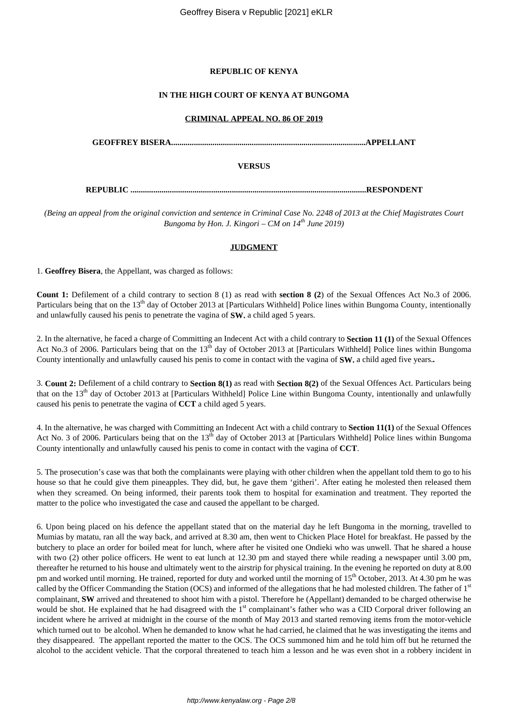### **REPUBLIC OF KENYA**

#### **IN THE HIGH COURT OF KENYA AT BUNGOMA**

#### **CRIMINAL APPEAL NO. 86 OF 2019**

**GEOFFREY BISERA..............................................................................................APPELLANT**

#### **VERSUS**

**REPUBLIC ..................................................................................................................RESPONDENT**

*(Being an appeal from the original conviction and sentence in Criminal Case No. 2248 of 2013 at the Chief Magistrates Court Bungoma by Hon. J. Kingori – CM on 14th June 2019)*

#### **JUDGMENT**

1. **Geoffrey Bisera**, the Appellant, was charged as follows:

**Count 1:** Defilement of a child contrary to section 8 (1) as read with **section 8 (2**) of the Sexual Offences Act No.3 of 2006. Particulars being that on the 13<sup>th</sup> day of October 2013 at [Particulars Withheld] Police lines within Bungoma County, intentionally and unlawfully caused his penis to penetrate the vagina of **SW.** a child aged 5 years.

2. In the alternative, he faced a charge of Committing an Indecent Act with a child contrary to **Section 11 (1)** of the Sexual Offences Act No.3 of 2006. Particulars being that on the  $13<sup>th</sup>$  day of October 2013 at [Particulars Withheld] Police lines within Bungoma County intentionally and unlawfully caused his penis to come in contact with the vagina of **SW.** a child aged five years.*.*

3. **Count 2:** Defilement of a child contrary to **Section 8(1)** as read with **Section 8(2)** of the Sexual Offences Act. Particulars being that on the 13<sup>th</sup> day of October 2013 at [Particulars Withheld] Police Line within Bungoma County, intentionally and unlawfully caused his penis to penetrate the vagina of **CCT** a child aged 5 years.

4. In the alternative, he was charged with Committing an Indecent Act with a child contrary to **Section 11(1)** of the Sexual Offences Act No. 3 of 2006. Particulars being that on the  $13<sup>th</sup>$  day of October 2013 at [Particulars Withheld] Police lines within Bungoma County intentionally and unlawfully caused his penis to come in contact with the vagina of **CCT**.

5. The prosecution's case was that both the complainants were playing with other children when the appellant told them to go to his house so that he could give them pineapples. They did, but, he gave them 'githeri'. After eating he molested then released them when they screamed. On being informed, their parents took them to hospital for examination and treatment. They reported the matter to the police who investigated the case and caused the appellant to be charged.

6. Upon being placed on his defence the appellant stated that on the material day he left Bungoma in the morning, travelled to Mumias by matatu, ran all the way back, and arrived at 8.30 am, then went to Chicken Place Hotel for breakfast. He passed by the butchery to place an order for boiled meat for lunch, where after he visited one Ondieki who was unwell. That he shared a house with two (2) other police officers. He went to eat lunch at 12.30 pm and stayed there while reading a newspaper until 3.00 pm, thereafter he returned to his house and ultimately went to the airstrip for physical training. In the evening he reported on duty at 8.00 pm and worked until morning. He trained, reported for duty and worked until the morning of  $15<sup>th</sup>$  October, 2013. At 4.30 pm he was called by the Officer Commanding the Station (OCS) and informed of the allegations that he had molested children. The father of 1<sup>st</sup> complainant, **SW** arrived and threatened to shoot him with a pistol. Therefore he (Appellant) demanded to be charged otherwise he would be shot. He explained that he had disagreed with the 1<sup>st</sup> complainant's father who was a CID Corporal driver following an incident where he arrived at midnight in the course of the month of May 2013 and started removing items from the motor-vehicle which turned out to be alcohol. When he demanded to know what he had carried, he claimed that he was investigating the items and they disappeared. The appellant reported the matter to the OCS. The OCS summoned him and he told him off but he returned the alcohol to the accident vehicle. That the corporal threatened to teach him a lesson and he was even shot in a robbery incident in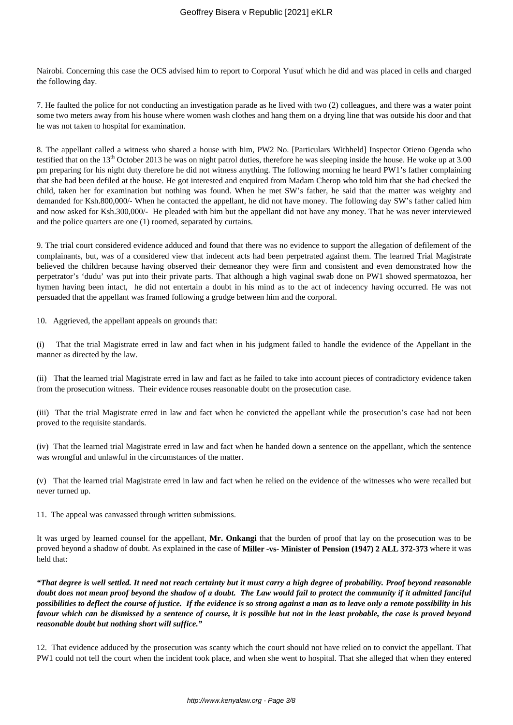Nairobi. Concerning this case the OCS advised him to report to Corporal Yusuf which he did and was placed in cells and charged the following day.

7. He faulted the police for not conducting an investigation parade as he lived with two (2) colleagues, and there was a water point some two meters away from his house where women wash clothes and hang them on a drying line that was outside his door and that he was not taken to hospital for examination.

8. The appellant called a witness who shared a house with him, PW2 No. [Particulars Withheld] Inspector Otieno Ogenda who testified that on the  $13<sup>th</sup>$  October 2013 he was on night patrol duties, therefore he was sleeping inside the house. He woke up at 3.00 pm preparing for his night duty therefore he did not witness anything. The following morning he heard PW1's father complaining that she had been defiled at the house. He got interested and enquired from Madam Cherop who told him that she had checked the child, taken her for examination but nothing was found. When he met SW's father, he said that the matter was weighty and demanded for Ksh.800,000/- When he contacted the appellant, he did not have money. The following day SW's father called him and now asked for Ksh.300,000/- He pleaded with him but the appellant did not have any money. That he was never interviewed and the police quarters are one (1) roomed, separated by curtains.

9. The trial court considered evidence adduced and found that there was no evidence to support the allegation of defilement of the complainants, but, was of a considered view that indecent acts had been perpetrated against them. The learned Trial Magistrate believed the children because having observed their demeanor they were firm and consistent and even demonstrated how the perpetrator's 'dudu' was put into their private parts. That although a high vaginal swab done on PW1 showed spermatozoa, her hymen having been intact, he did not entertain a doubt in his mind as to the act of indecency having occurred. He was not persuaded that the appellant was framed following a grudge between him and the corporal.

10. Aggrieved, the appellant appeals on grounds that:

(i) That the trial Magistrate erred in law and fact when in his judgment failed to handle the evidence of the Appellant in the manner as directed by the law.

(ii) That the learned trial Magistrate erred in law and fact as he failed to take into account pieces of contradictory evidence taken from the prosecution witness. Their evidence rouses reasonable doubt on the prosecution case.

(iii) That the trial Magistrate erred in law and fact when he convicted the appellant while the prosecution's case had not been proved to the requisite standards.

(iv) That the learned trial Magistrate erred in law and fact when he handed down a sentence on the appellant, which the sentence was wrongful and unlawful in the circumstances of the matter.

(v) That the learned trial Magistrate erred in law and fact when he relied on the evidence of the witnesses who were recalled but never turned up.

11. The appeal was canvassed through written submissions.

It was urged by learned counsel for the appellant, **Mr. Onkangi** that the burden of proof that lay on the prosecution was to be proved beyond a shadow of doubt. As explained in the case of **Miller -vs- Minister of Pension (1947) 2 ALL 372-373** where it was held that:

*"That degree is well settled. It need not reach certainty but it must carry a high degree of probability. Proof beyond reasonable doubt does not mean proof beyond the shadow of a doubt. The Law would fail to protect the community if it admitted fanciful possibilities to deflect the course of justice. If the evidence is so strong against a man as to leave only a remote possibility in his favour which can be dismissed by a sentence of course, it is possible but not in the least probable, the case is proved beyond reasonable doubt but nothing short will suffice."*

12. That evidence adduced by the prosecution was scanty which the court should not have relied on to convict the appellant. That PW1 could not tell the court when the incident took place, and when she went to hospital. That she alleged that when they entered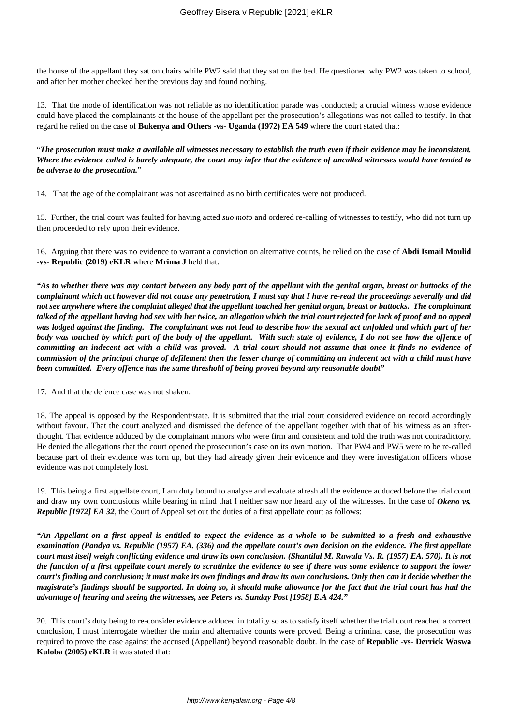the house of the appellant they sat on chairs while PW2 said that they sat on the bed. He questioned why PW2 was taken to school, and after her mother checked her the previous day and found nothing.

13. That the mode of identification was not reliable as no identification parade was conducted; a crucial witness whose evidence could have placed the complainants at the house of the appellant per the prosecution's allegations was not called to testify. In that regard he relied on the case of **Bukenya and Others -vs- Uganda (1972) EA 549** where the court stated that:

"*The prosecution must make a available all witnesses necessary to establish the truth even if their evidence may be inconsistent. Where the evidence called is barely adequate, the court may infer that the evidence of uncalled witnesses would have tended to be adverse to the prosecution.*"

14. That the age of the complainant was not ascertained as no birth certificates were not produced.

15. Further, the trial court was faulted for having acted *suo moto* and ordered re-calling of witnesses to testify, who did not turn up then proceeded to rely upon their evidence.

16. Arguing that there was no evidence to warrant a conviction on alternative counts, he relied on the case of **Abdi Ismail Moulid -vs- Republic (2019) eKLR** where **Mrima J** held that:

*"As to whether there was any contact between any body part of the appellant with the genital organ, breast or buttocks of the complainant which act however did not cause any penetration, I must say that I have re-read the proceedings severally and did not see anywhere where the complaint alleged that the appellant touched her genital organ, breast or buttocks. The complainant talked of the appellant having had sex with her twice, an allegation which the trial court rejected for lack of proof and no appeal was lodged against the finding. The complainant was not lead to describe how the sexual act unfolded and which part of her body was touched by which part of the body of the appellant. With such state of evidence, I do not see how the offence of committing an indecent act with a child was proved. A trial court should not assume that once it finds no evidence of commission of the principal charge of defilement then the lesser charge of committing an indecent act with a child must have been committed. Every offence has the same threshold of being proved beyond any reasonable doubt"*

17. And that the defence case was not shaken.

18. The appeal is opposed by the Respondent/state. It is submitted that the trial court considered evidence on record accordingly without favour. That the court analyzed and dismissed the defence of the appellant together with that of his witness as an afterthought. That evidence adduced by the complainant minors who were firm and consistent and told the truth was not contradictory. He denied the allegations that the court opened the prosecution's case on its own motion. That PW4 and PW5 were to be re-called because part of their evidence was torn up, but they had already given their evidence and they were investigation officers whose evidence was not completely lost.

19. This being a first appellate court, I am duty bound to analyse and evaluate afresh all the evidence adduced before the trial court and draw my own conclusions while bearing in mind that I neither saw nor heard any of the witnesses. In the case of *Okeno vs. Republic [1972] EA 32,* the Court of Appeal set out the duties of a first appellate court as follows:

*"An Appellant on a first appeal is entitled to expect the evidence as a whole to be submitted to a fresh and exhaustive examination (Pandya vs. Republic (1957) EA. (336) and the appellate court's own decision on the evidence. The first appellate court must itself weigh conflicting evidence and draw its own conclusion. (Shantilal M. Ruwala Vs. R. (1957) EA. 570). It is not the function of a first appellate court merely to scrutinize the evidence to see if there was some evidence to support the lower court's finding and conclusion; it must make its own findings and draw its own conclusions. Only then can it decide whether the magistrate's findings should be supported. In doing so, it should make allowance for the fact that the trial court has had the advantage of hearing and seeing the witnesses, see Peters vs. Sunday Post [1958] E.A 424."*

20. This court's duty being to re-consider evidence adduced in totality so as to satisfy itself whether the trial court reached a correct conclusion, I must interrogate whether the main and alternative counts were proved. Being a criminal case, the prosecution was required to prove the case against the accused (Appellant) beyond reasonable doubt. In the case of **Republic -vs- Derrick Waswa Kuloba (2005) eKLR** it was stated that: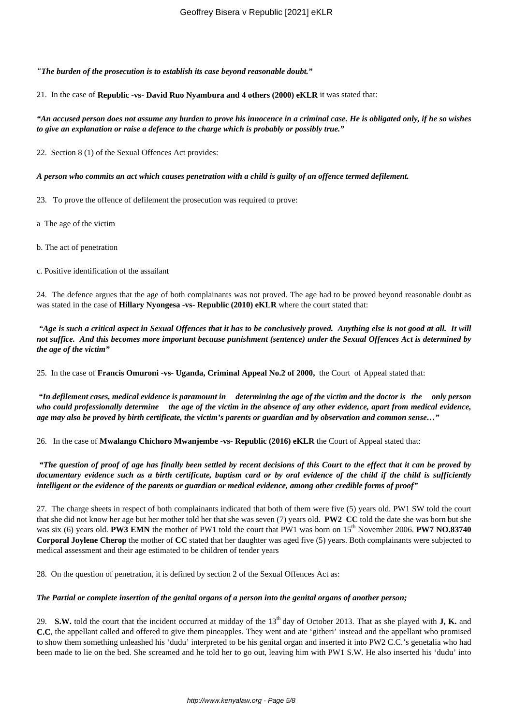*"The burden of the prosecution is to establish its case beyond reasonable doubt."*

21. In the case of **Republic -vs- David Ruo Nyambura and 4 others (2000) eKLR** it was stated that:

*"An accused person does not assume any burden to prove his innocence in a criminal case. He is obligated only, if he so wishes to give an explanation or raise a defence to the charge which is probably or possibly true."*

22. Section 8 (1) of the Sexual Offences Act provides:

*A person who commits an act which causes penetration with a child is guilty of an offence termed defilement.*

23. To prove the offence of defilement the prosecution was required to prove:

a The age of the victim

b. The act of penetration

c. Positive identification of the assailant

24. The defence argues that the age of both complainants was not proved. The age had to be proved beyond reasonable doubt as was stated in the case of **Hillary Nyongesa -vs- Republic (2010) eKLR** where the court stated that:

*"Age is such a critical aspect in Sexual Offences that it has to be conclusively proved. Anything else is not good at all. It will not suffice. And this becomes more important because punishment (sentence) under the Sexual Offences Act is determined by the age of the victim"*

25. In the case of **Francis Omuroni -vs- Uganda, Criminal Appeal No.2 of 2000,** the Court of Appeal stated that:

*"In defilement cases, medical evidence is paramount in determining the age of the victim and the doctor is the only person who could professionally determine the age of the victim in the absence of any other evidence, apart from medical evidence, age may also be proved by birth certificate, the victim's parents or guardian and by observation and common sense…"*

26. In the case of **Mwalango Chichoro Mwanjembe -vs- Republic (2016) eKLR** the Court of Appeal stated that:

*"The question of proof of age has finally been settled by recent decisions of this Court to the effect that it can be proved by documentary evidence such as a birth certificate, baptism card or by oral evidence of the child if the child is sufficiently intelligent or the evidence of the parents or guardian or medical evidence, among other credible forms of proof"*

27. The charge sheets in respect of both complainants indicated that both of them were five (5) years old. PW1 SW told the court that she did not know her age but her mother told her that she was seven (7) years old. **PW2 CC** told the date she was born but she was six (6) years old. **PW3 EMN** the mother of PW1 told the court that PW1 was born on 15<sup>th</sup> November 2006. **PW7 NO.83740 Corporal Joylene Cherop** the mother of **CC** stated that her daughter was aged five (5) years. Both complainants were subjected to medical assessment and their age estimated to be children of tender years

28. On the question of penetration, it is defined by section 2 of the Sexual Offences Act as:

#### *The Partial or complete insertion of the genital organs of a person into the genital organs of another person;*

29. **S.W.** told the court that the incident occurred at midday of the 13<sup>th</sup> day of October 2013. That as she played with **J, K.** and **C.C.** the appellant called and offered to give them pineapples. They went and ate 'githeri' instead and the appellant who promised to show them something unleashed his 'dudu' interpreted to be his genital organ and inserted it into PW2 C.C.'s genetalia who had been made to lie on the bed. She screamed and he told her to go out, leaving him with PW1 S.W. He also inserted his 'dudu' into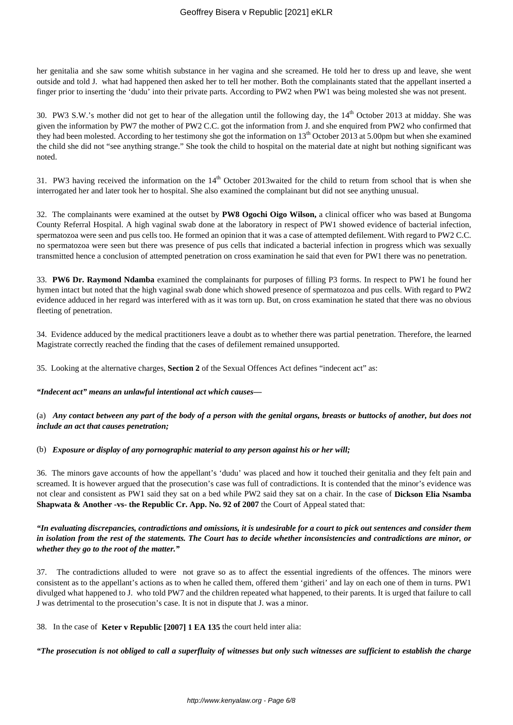her genitalia and she saw some whitish substance in her vagina and she screamed. He told her to dress up and leave, she went outside and told J. what had happened then asked her to tell her mother. Both the complainants stated that the appellant inserted a finger prior to inserting the 'dudu' into their private parts. According to PW2 when PW1 was being molested she was not present.

30. PW3 S.W.'s mother did not get to hear of the allegation until the following day, the 14<sup>th</sup> October 2013 at midday. She was given the information by PW7 the mother of PW2 C.C. got the information from J. and she enquired from PW2 who confirmed that they had been molested. According to her testimony she got the information on 13<sup>th</sup> October 2013 at 5.00pm but when she examined the child she did not "see anything strange." She took the child to hospital on the material date at night but nothing significant was noted.

31. PW3 having received the information on the  $14<sup>th</sup>$  October 2013waited for the child to return from school that is when she interrogated her and later took her to hospital. She also examined the complainant but did not see anything unusual.

32. The complainants were examined at the outset by **PW8 Ogochi Oigo Wilson,** a clinical officer who was based at Bungoma County Referral Hospital. A high vaginal swab done at the laboratory in respect of PW1 showed evidence of bacterial infection, spermatozoa were seen and pus cells too. He formed an opinion that it was a case of attempted defilement. With regard to PW2 C.C. no spermatozoa were seen but there was presence of pus cells that indicated a bacterial infection in progress which was sexually transmitted hence a conclusion of attempted penetration on cross examination he said that even for PW1 there was no penetration.

33. **PW6 Dr. Raymond Ndamba** examined the complainants for purposes of filling P3 forms. In respect to PW1 he found her hymen intact but noted that the high vaginal swab done which showed presence of spermatozoa and pus cells. With regard to PW2 evidence adduced in her regard was interfered with as it was torn up. But, on cross examination he stated that there was no obvious fleeting of penetration.

34. Evidence adduced by the medical practitioners leave a doubt as to whether there was partial penetration. Therefore, the learned Magistrate correctly reached the finding that the cases of defilement remained unsupported.

35. Looking at the alternative charges, **Section 2** of the Sexual Offences Act defines "indecent act" as:

*"Indecent act" means an unlawful intentional act which causes—*

(a) *Any contact between any part of the body of a person with the genital organs, breasts or buttocks of another, but does not include an act that causes penetration;*

(b) *Exposure or display of any pornographic material to any person against his or her will;*

36. The minors gave accounts of how the appellant's 'dudu' was placed and how it touched their genitalia and they felt pain and screamed. It is however argued that the prosecution's case was full of contradictions. It is contended that the minor's evidence was not clear and consistent as PW1 said they sat on a bed while PW2 said they sat on a chair. In the case of **Dickson Elia Nsamba Shapwata & Another -vs- the Republic Cr. App. No. 92 of 2007** the Court of Appeal stated that:

*"In evaluating discrepancies, contradictions and omissions, it is undesirable for a court to pick out sentences and consider them in isolation from the rest of the statements. The Court has to decide whether inconsistencies and contradictions are minor, or whether they go to the root of the matter."*

The contradictions alluded to were not grave so as to affect the essential ingredients of the offences. The minors were consistent as to the appellant's actions as to when he called them, offered them 'githeri' and lay on each one of them in turns. PW1 divulged what happened to J. who told PW7 and the children repeated what happened, to their parents. It is urged that failure to call J was detrimental to the prosecution's case. It is not in dispute that J. was a minor.

38. In the case of **Keter v Republic [2007] 1 EA 135** the court held inter alia:

*"The prosecution is not obliged to call a superfluity of witnesses but only such witnesses are sufficient to establish the charge*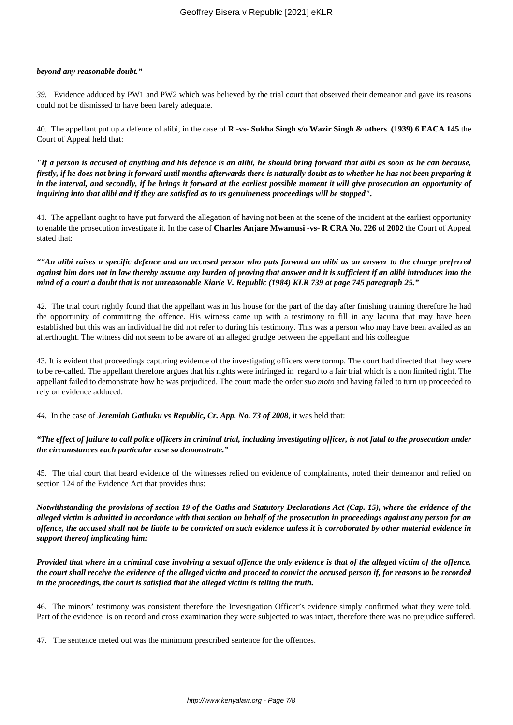#### *beyond any reasonable doubt."*

*39.* Evidence adduced by PW1 and PW2 which was believed by the trial court that observed their demeanor and gave its reasons could not be dismissed to have been barely adequate.

40. The appellant put up a defence of alibi, in the case of **R -vs- Sukha Singh s/o Wazir Singh & others (1939) 6 EACA 145** the Court of Appeal held that:

*"If a person is accused of anything and his defence is an alibi, he should bring forward that alibi as soon as he can because, firstly, if he does not bring it forward until months afterwards there is naturally doubt as to whether he has not been preparing it in the interval, and secondly, if he brings it forward at the earliest possible moment it will give prosecution an opportunity of inquiring into that alibi and if they are satisfied as to its genuineness proceedings will be stopped".*

41. The appellant ought to have put forward the allegation of having not been at the scene of the incident at the earliest opportunity to enable the prosecution investigate it. In the case of **Charles Anjare Mwamusi -vs- R CRA No. 226 of 2002** the Court of Appeal stated that:

*""An alibi raises a specific defence and an accused person who puts forward an alibi as an answer to the charge preferred against him does not in law thereby assume any burden of proving that answer and it is sufficient if an alibi introduces into the mind of a court a doubt that is not unreasonable Kiarie V. Republic (1984) KLR 739 at page 745 paragraph 25."*

42. The trial court rightly found that the appellant was in his house for the part of the day after finishing training therefore he had the opportunity of committing the offence. His witness came up with a testimony to fill in any lacuna that may have been established but this was an individual he did not refer to during his testimony. This was a person who may have been availed as an afterthought. The witness did not seem to be aware of an alleged grudge between the appellant and his colleague.

43. It is evident that proceedings capturing evidence of the investigating officers were tornup. The court had directed that they were to be re-called. The appellant therefore argues that his rights were infringed in regard to a fair trial which is a non limited right. The appellant failed to demonstrate how he was prejudiced. The court made the order *suo moto* and having failed to turn up proceeded to rely on evidence adduced.

*44.* In the case of *Jeremiah Gathuku vs Republic, Cr. App. No. 73 of 2008*, it was held that:

*"The effect of failure to call police officers in criminal trial, including investigating officer, is not fatal to the prosecution under the circumstances each particular case so demonstrate."*

45. The trial court that heard evidence of the witnesses relied on evidence of complainants, noted their demeanor and relied on section 124 of the Evidence Act that provides thus:

*Notwithstanding the provisions of section 19 of the Oaths and Statutory Declarations Act (Cap. 15), where the evidence of the alleged victim is admitted in accordance with that section on behalf of the prosecution in proceedings against any person for an offence, the accused shall not be liable to be convicted on such evidence unless it is corroborated by other material evidence in support thereof implicating him:*

*Provided that where in a criminal case involving a sexual offence the only evidence is that of the alleged victim of the offence, the court shall receive the evidence of the alleged victim and proceed to convict the accused person if, for reasons to be recorded in the proceedings, the court is satisfied that the alleged victim is telling the truth.*

46. The minors' testimony was consistent therefore the Investigation Officer's evidence simply confirmed what they were told. Part of the evidence is on record and cross examination they were subjected to was intact, therefore there was no prejudice suffered.

47. The sentence meted out was the minimum prescribed sentence for the offences.